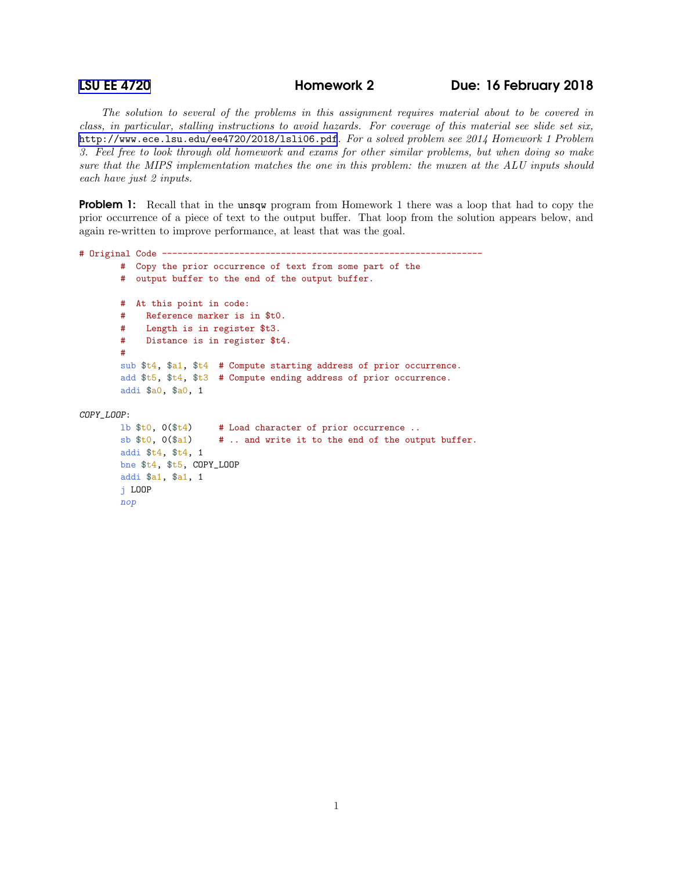j LOOP nop

## [LSU EE 4720](http://www.ece.lsu.edu/ee4720/) Homework 2 Due: 16 February 2018

*The solution to several of the problems in this assignment requires material about to be covered in class, in particular, stalling instructions to avoid hazards. For coverage of this material see slide set six,* <http://www.ece.lsu.edu/ee4720/2018/lsli06.pdf>*. For a solved problem see 2014 Homework 1 Problem 3. Feel free to look through old homework and exams for other similar problems, but when doing so make sure that the MIPS implementation matches the one in this problem: the muxen at the ALU inputs should each have just 2 inputs.*

**Problem 1:** Recall that in the unsqw program from Homework 1 there was a loop that had to copy the prior occurrence of a piece of text to the output buffer. That loop from the solution appears below, and again re-written to improve performance, at least that was the goal.

```
# Original Code --------------------------------------------------------------
       # Copy the prior occurrence of text from some part of the
       # output buffer to the end of the output buffer.
       # At this point in code:
       # Reference marker is in $t0.
       # Length is in register $t3.
       # Distance is in register $t4.
       #
       sub $t4, $a1, $t4 # Compute starting address of prior occurrence.
       add $t5, $t4, $t3 # Compute ending address of prior occurrence.
       addi $a0, $a0, 1
COPY_LOOP:
       1b $t0, 0($t4) # Load character of prior occurrence ..
       sb t0, 0(ta1) # .. and write it to the end of the output buffer.
       addi $t4, $t4, 1
       bne $t4, $t5, COPY_LOOP
       addi $a1, $a1, 1
```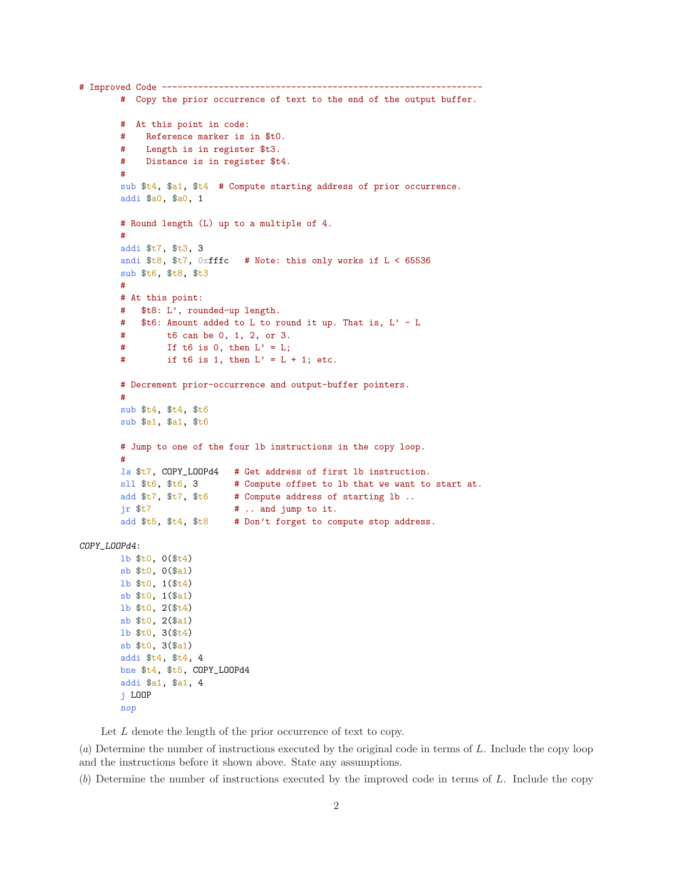```
# Improved Code -------
       # Copy the prior occurrence of text to the end of the output buffer.
       # At this point in code:
       # Reference marker is in $t0.
       # Length is in register $t3.
       # Distance is in register $t4.
       #
       sub $t4, $a1, $t4 # Compute starting address of prior occurrence.
       addi $a0, $a0, 1
       # Round length (L) up to a multiple of 4.
        #
       addi $t7, $t3, 3
       andi $t8, $t7, 0xfffc # Note: this only works if L < 65536sub $t6, $t8, $t3
       #
       # At this point:
       # $t8: L', rounded-up length.
       # $t6: Amount added to L to round it up. That is, L' - L
       # t6 can be 0, 1, 2, or 3.
       # If t6 is 0, then L' = L;
       # if t6 is 1, then L' = L + 1; etc.
       # Decrement prior-occurrence and output-buffer pointers.
       #
       sub $t4, $t4, $t6
       sub $a1, $a1, $t6
       # Jump to one of the four lb instructions in the copy loop.
        #
       la $t7, COPY_LOOPd4 # Get address of first lb instruction.
       sll $t6, $t6, 3 # Compute offset to lb that we want to start at.
       add t7, t7, t6 # Compute address of starting 1b ..
       jr t7 # .. and jump to it.
       add $t5, $t4, $t8 # Don't forget to compute stop address.
COPY_LOOPd4:
       lb $t0, 0($t4)
       sb $t0, 0($a1)
       lb $t0, 1($t4)
       sb $t0, 1($a1)
       lb $t0, 2($t4)
       sb $t0, 2($a1)
       lb $t0, 3($t4)
       sb $t0, 3($a1)
       addi $t4, $t4, 4
       bne $t4, $t5, COPY_LOOPd4
       addi $a1, $a1, 4
       j LOOP
       nop
```
Let  $L$  denote the length of the prior occurrence of text to copy.

(*a*) Determine the number of instructions executed by the original code in terms of L. Include the copy loop and the instructions before it shown above. State any assumptions.

(*b*) Determine the number of instructions executed by the improved code in terms of L. Include the copy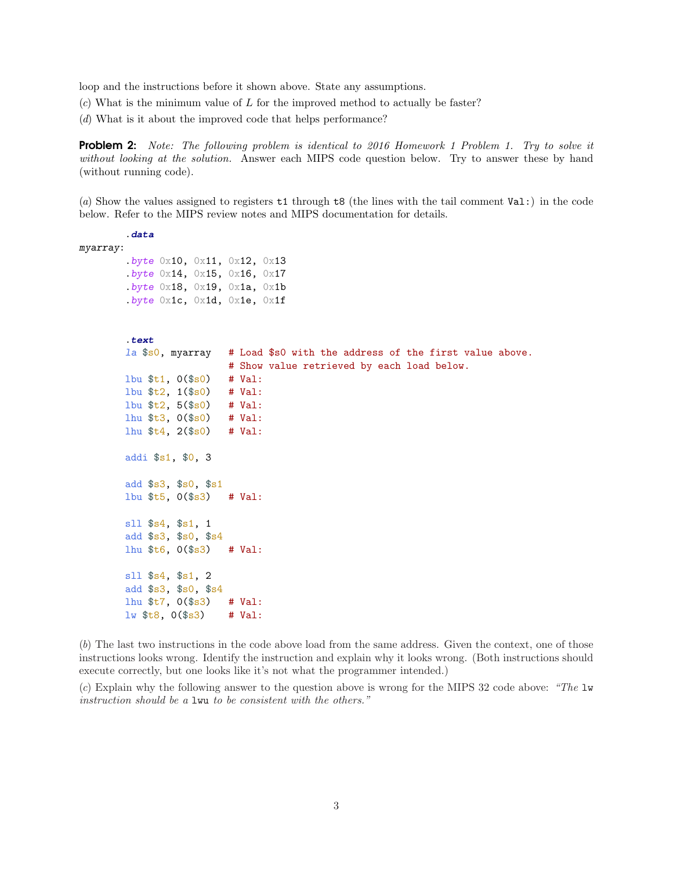loop and the instructions before it shown above. State any assumptions.

- (*c*) What is the minimum value of L for the improved method to actually be faster?
- (*d*) What is it about the improved code that helps performance?

Problem 2: *Note: The following problem is identical to 2016 Homework 1 Problem 1. Try to solve it without looking at the solution.* Answer each MIPS code question below. Try to answer these by hand (without running code).

(*a*) Show the values assigned to registers t1 through t8 (the lines with the tail comment Val:) in the code below. Refer to the MIPS review notes and MIPS documentation for details.

```
.data
myarray:
        .byte 0x10, 0x11, 0x12, 0x13
        .byte 0x14, 0x15, 0x16, 0x17
        .byte 0x18, 0x19, 0x1a, 0x1b.byte 0x1c, 0x1d, 0x1e, 0x1f
        .text
        la $s0, myarray # Load $s0 with the address of the first value above.
                          # Show value retrieved by each load below.
        lbu $t1, 0($s0) # Val:
        lbu $t2, 1($s0) # Val:
        lbu $t2, 5($s0) # Val:
        lhu $t3, 0($s0) # Val:
        1hu t_4, 2(t_50) # Val:
        addi $s1, $0, 3
        add $s3, $s0, $s1
        lbu $t5, 0($s3) # Val:
        sll $s4, $s1, 1
        add $s3, $s0, $s4
        lhu $t6, 0($s3) # Val:
        sll $s4, $s1, 2
        add $s3, $s0, $s4
        lhu $t7, 0($s3) # Val:
        \frac{1}{10} $t8, 0($s3) # Val:
```
(*b*) The last two instructions in the code above load from the same address. Given the context, one of those instructions looks wrong. Identify the instruction and explain why it looks wrong. (Both instructions should execute correctly, but one looks like it's not what the programmer intended.)

(*c*) Explain why the following answer to the question above is wrong for the MIPS 32 code above: *"The* lw *instruction should be a* lwu *to be consistent with the others."*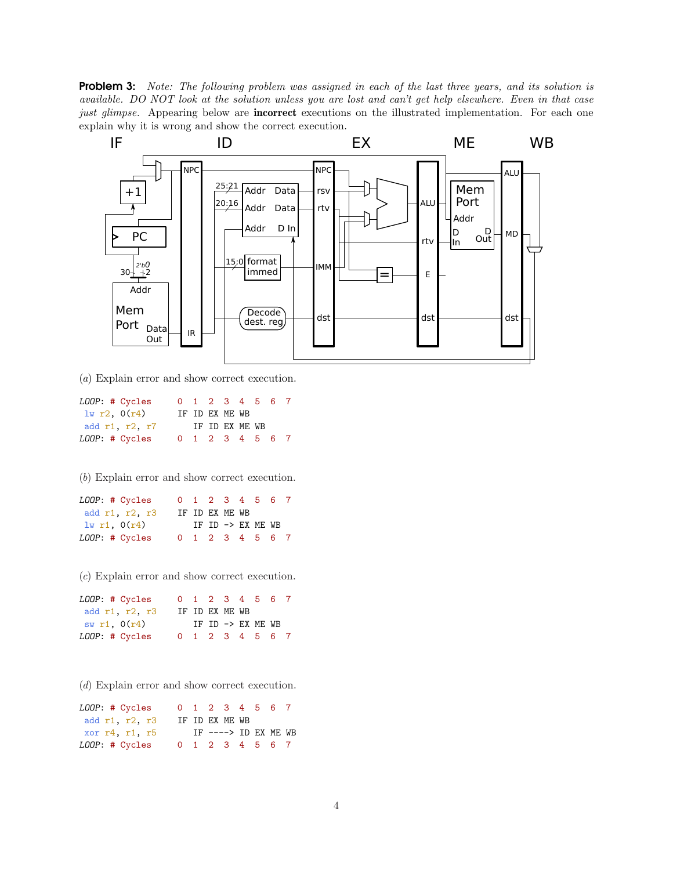Problem 3: *Note: The following problem was assigned in each of the last three years, and its solution is available. DO NOT look at the solution unless you are lost and can't get help elsewhere. Even in that case just glimpse.* Appearing below are **incorrect** executions on the illustrated implementation. For each one explain why it is wrong and show the correct execution.



(*a*) Explain error and show correct execution.

| LOOP: # Cycles |  | 0 1 2 3 4 5 6 7 |  |  |
|----------------|--|-----------------|--|--|
| 1w r2, 0(r4)   |  | IF ID EX ME WB  |  |  |
| add r1, r2, r7 |  | IF ID EX ME WB  |  |  |
| LOOP: # Cycles |  | 0 1 2 3 4 5 6 7 |  |  |

(*b*) Explain error and show correct execution.

| LOOP: # Cycles |  |                | 0 1 2 3 4 5 6 7   |  |
|----------------|--|----------------|-------------------|--|
| add r1, r2, r3 |  | IF ID EX ME WB |                   |  |
| 1w r1, 0(r4)   |  |                | IF ID -> EX ME WB |  |
| LOOP: # Cycles |  |                | 0 1 2 3 4 5 6 7   |  |

(*c*) Explain error and show correct execution.

| LOOP: # Cycles |  |                | 0 1 2 3 4 5 6 7   |  |
|----------------|--|----------------|-------------------|--|
| add r1, r2, r3 |  | IF ID EX ME WB |                   |  |
| sw r1, $0(r4)$ |  |                | IF ID -> EX ME WB |  |
| LOOP: # Cycles |  |                | 0 1 2 3 4 5 6 7   |  |

(*d*) Explain error and show correct execution.

| LOOP: # Cycles     |  |                |                 | 0 1 2 3 4 5 6 7       |  |
|--------------------|--|----------------|-----------------|-----------------------|--|
| add r1, r2, r3     |  | IF ID EX ME WB |                 |                       |  |
| xor r4, r1, r5     |  |                |                 | IF $--->$ ID EX ME WB |  |
| $LOOP:$ # $Cycles$ |  |                | 0 1 2 3 4 5 6 7 |                       |  |